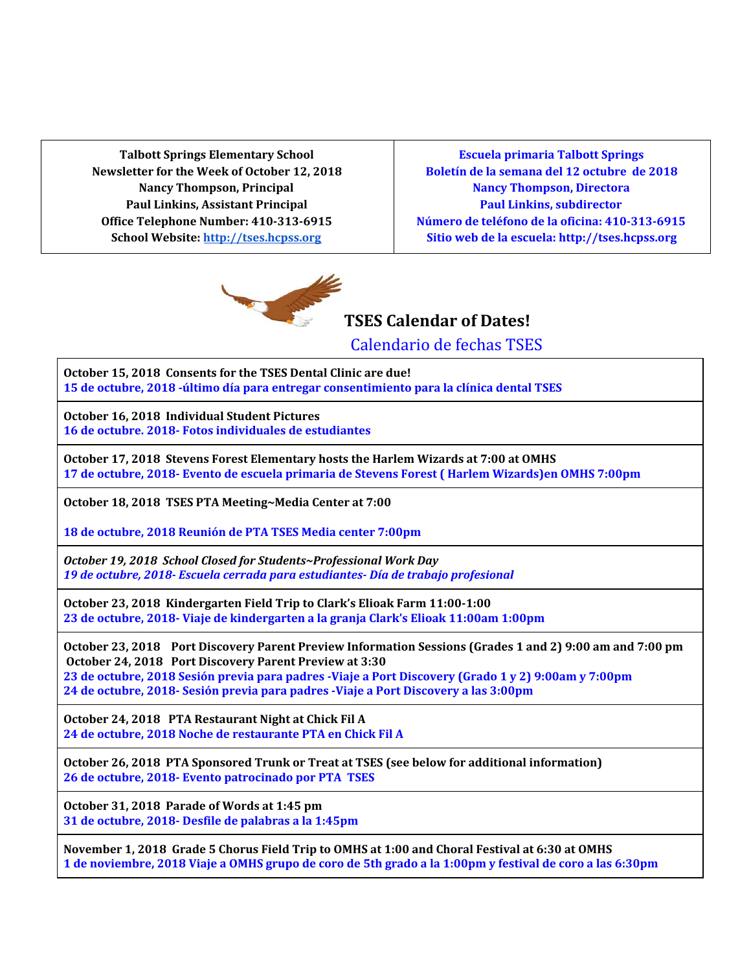**Talbott Springs Elementary School Newsletter for the Week of October 12, 2018 Nancy Thompson, Principal Paul Linkins, Assistant Principal Office Telephone Number: 410-313-6915 School Website: [http://tses.hcpss.org](http://tses.hcpss.org/)**

**Escuela primaria Talbott Springs Boletín de la semana del 12 octubre de 2018 Nancy Thompson, Directora Paul Linkins, subdirector Número de teléfono de la oficina: 410-313-6915 Sitio web de la escuela: http://tses.hcpss.org**



**TSES Calendar of Dates!**

Calendario de fechas TSES

**October 15, 2018 Consents for the TSES Dental Clinic are due! 15 de octubre, 2018 -último día para entregar consentimiento para la clínica dental TSES**

**October 16, 2018 Individual Student Pictures 16 de octubre. 2018- Fotos individuales de estudiantes**

**October 17, 2018 Stevens Forest Elementary hosts the Harlem Wizards at 7:00 at OMHS 17 de octubre, 2018- Evento de escuela primaria de Stevens Forest ( Harlem Wizards)en OMHS 7:00pm**

**October 18, 2018 TSES PTA Meeting~Media Center at 7:00**

**18 de octubre, 2018 Reunión de PTA TSES Media center 7:00pm**

*October 19, 2018 School Closed for Students~Professional Work Day 19 de octubre, 2018- Escuela cerrada para estudiantes- Día de trabajo profesional*

**October 23, 2018 Kindergarten Field Trip to Clark's Elioak Farm 11:00-1:00 23 de octubre, 2018- Viaje de kindergarten a la granja Clark's Elioak 11:00am 1:00pm**

October 23, 2018 Port Discovery Parent Preview Information Sessions (Grades 1 and 2) 9:00 am and 7:00 pm **October 24, 2018 Port Discovery Parent Preview at 3:30** 23 de octubre, 2018 Sesión previa para padres -Viaje a Port Discovery (Grado 1 y 2) 9:00am y 7:00pm **24 de octubre, 2018- Sesión previa para padres -Viaje a Port Discovery a las 3:00pm**

**October 24, 2018 PTA Restaurant Night at Chick Fil A 24 de octubre, 2018 Noche de restaurante PTA en Chick Fil A**

**October 26, 2018 PTA Sponsored Trunk or Treat at TSES (see below for additional information) 26 de octubre, 2018- Evento patrocinado por PTA TSES**

**October 31, 2018 Parade of Words at 1:45 pm 31 de octubre, 2018- Desfile de palabras a la 1:45pm**

November 1, 2018 Grade 5 Chorus Field Trip to OMHS at 1:00 and Choral Festival at 6:30 at OMHS 1 de noviembre, 2018 Viaje a OMHS grupo de coro de 5th grado a la 1:00pm y festival de coro a las 6:30pm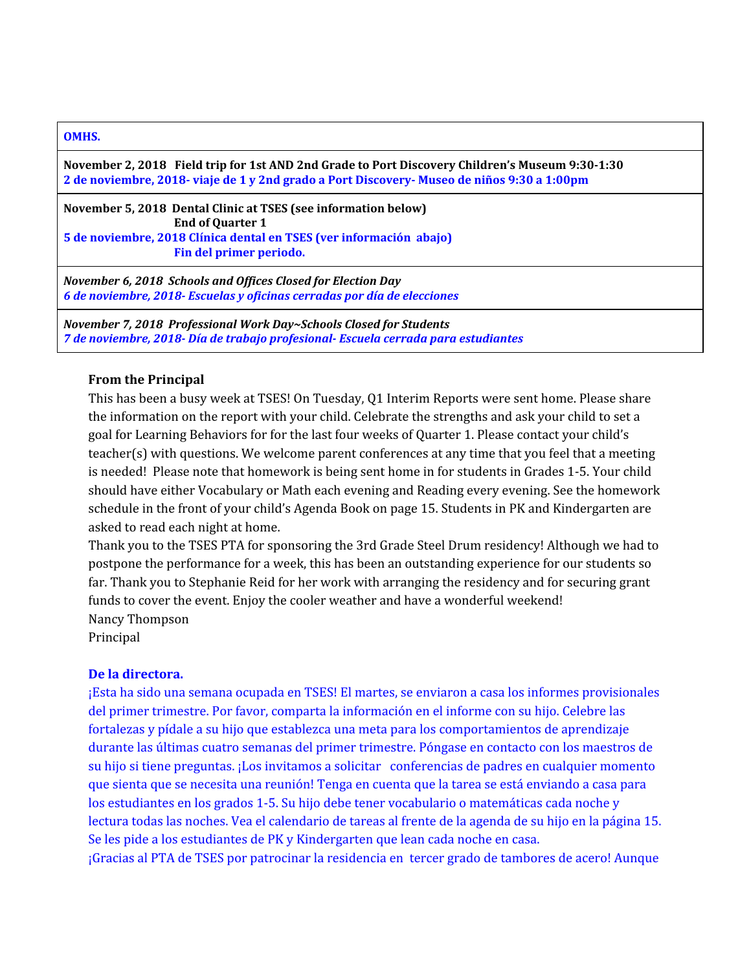#### **OMHS.**

**November 2, 2018 Field trip for 1st AND 2nd Grade to Port Discovery Children's Museum 9:30-1:30 2 de noviembre, 2018- viaje de 1 y 2nd grado a Port Discovery- Museo de niños 9:30 a 1:00pm**

**November 5, 2018 Dental Clinic at TSES (see information below) End of Quarter 1 5 de noviembre, 2018 Clínica dental en TSES (ver información abajo) Fin del primer periodo.**

*November 6, 2018 Schools and Offices Closed for Election Day 6 de noviembre, 2018- Escuelas y oficinas cerradas por día de elecciones*

*November 7, 2018 Professional Work Day~Schools Closed for Students 7 de noviembre, 2018- Día de trabajo profesional- Escuela cerrada para estudiantes*

#### **From the Principal**

This has been a busy week at TSES! On Tuesday, Q1 Interim Reports were sent home. Please share the information on the report with your child. Celebrate the strengths and ask your child to set a goal for Learning Behaviors for for the last four weeks of Quarter 1. Please contact your child's teacher(s) with questions. We welcome parent conferences at any time that you feel that a meeting is needed! Please note that homework is being sent home in for students in Grades 1-5. Your child should have either Vocabulary or Math each evening and Reading every evening. See the homework schedule in the front of your child's Agenda Book on page 15. Students in PK and Kindergarten are asked to read each night at home.

Thank you to the TSES PTA for sponsoring the 3rd Grade Steel Drum residency! Although we had to postpone the performance for a week, this has been an outstanding experience for our students so far. Thank you to Stephanie Reid for her work with arranging the residency and for securing grant funds to cover the event. Enjoy the cooler weather and have a wonderful weekend! Nancy Thompson

Principal

### **De la directora.**

¡Esta ha sido una semana ocupada en TSES! El martes, se enviaron a casa los informes provisionales del primer trimestre. Por favor, comparta la información en el informe con su hijo. Celebre las fortalezas y pídale a su hijo que establezca una meta para los comportamientos de aprendizaje durante las últimas cuatro semanas del primer trimestre. Póngase en contacto con los maestros de su hijo si tiene preguntas. ¡Los invitamos a solicitar conferencias de padres en cualquier momento que sienta que se necesita una reunión! Tenga en cuenta que la tarea se está enviando a casa para los estudiantes en los grados 1-5. Su hijo debe tener vocabulario o matemáticas cada noche y lectura todas las noches. Vea el calendario de tareas al frente de la agenda de su hijo en la página 15. Se les pide a los estudiantes de PK y Kindergarten que lean cada noche en casa. ¡Gracias al PTA de TSES por patrocinar la residencia en tercer grado de tambores de acero! Aunque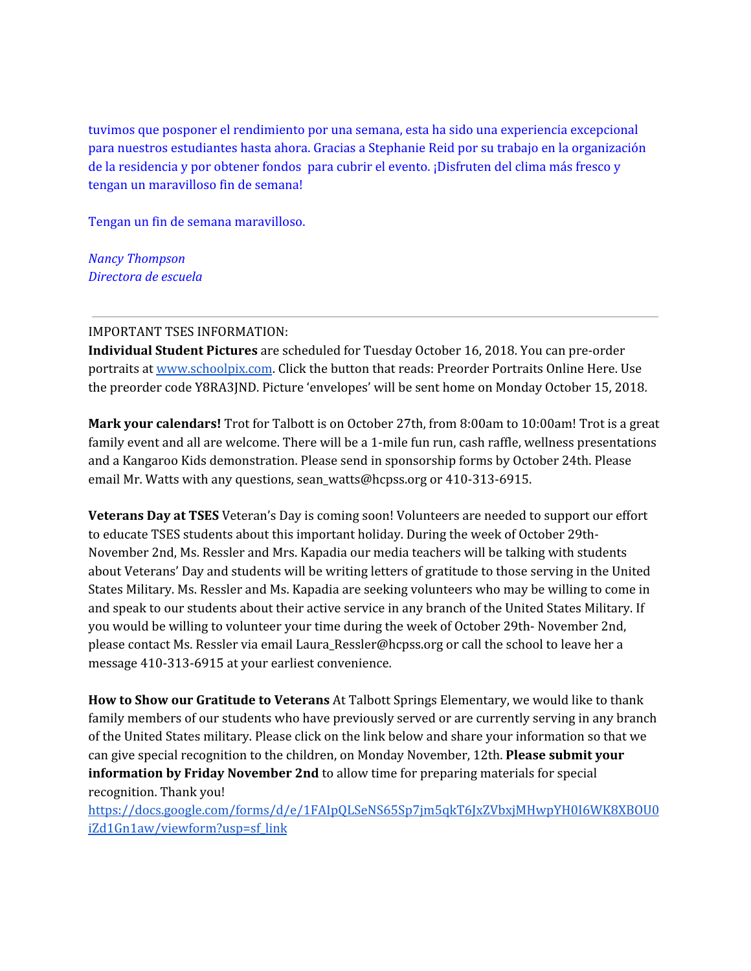tuvimos que posponer el rendimiento por una semana, esta ha sido una experiencia excepcional para nuestros estudiantes hasta ahora. Gracias a Stephanie Reid por su trabajo en la organización de la residencia y por obtener fondos para cubrir el evento. ¡Disfruten del clima más fresco y tengan un maravilloso fin de semana!

Tengan un fin de semana maravilloso.

*Nancy Thompson Directora de escuela*

### IMPORTANT TSES INFORMATION:

**Individual Student Pictures** are scheduled for Tuesday October 16, 2018. You can pre-order portraits at [www.schoolpix.com](http://www.schoolpix.com/). Click the button that reads: Preorder Portraits Online Here. Use the preorder code Y8RA3JND. Picture 'envelopes' will be sent home on Monday October 15, 2018.

**Mark your calendars!** Trot for Talbott is on October 27th, from 8:00am to 10:00am! Trot is a great family event and all are welcome. There will be a 1-mile fun run, cash raffle, wellness presentations and a Kangaroo Kids demonstration. Please send in sponsorship forms by October 24th. Please email Mr. Watts with any questions, sean\_watts@hcpss.org or 410-313-6915.

**Veterans Day at TSES** Veteran's Day is coming soon! Volunteers are needed to support our effort to educate TSES students about this important holiday. During the week of October 29th-November 2nd, Ms. Ressler and Mrs. Kapadia our media teachers will be talking with students about Veterans' Day and students will be writing letters of gratitude to those serving in the United States Military. Ms. Ressler and Ms. Kapadia are seeking volunteers who may be willing to come in and speak to our students about their active service in any branch of the United States Military. If you would be willing to volunteer your time during the week of October 29th- November 2nd, please contact Ms. Ressler via email Laura\_Ressler@hcpss.org or call the school to leave her a message 410-313-6915 at your earliest convenience.

**How to Show our Gratitude to Veterans** At Talbott Springs Elementary, we would like to thank family members of our students who have previously served or are currently serving in any branch of the United States military. Please click on the link below and share your information so that we can give special recognition to the children, on Monday November, 12th. **Please submit your information by Friday November 2nd** to allow time for preparing materials for special recognition. Thank you!

[https://docs.google.com/forms/d/e/1FAIpQLSeNS65Sp7jm5qkT6JxZVbxjMHwpYH0I6WK8XBOU0](https://docs.google.com/forms/d/e/1FAIpQLSeNS65Sp7jm5qkT6JxZVbxjMHwpYH0I6WK8XBOU0iZd1Gn1aw/viewform?usp=sf_link) [iZd1Gn1aw/viewform?usp=sf\\_link](https://docs.google.com/forms/d/e/1FAIpQLSeNS65Sp7jm5qkT6JxZVbxjMHwpYH0I6WK8XBOU0iZd1Gn1aw/viewform?usp=sf_link)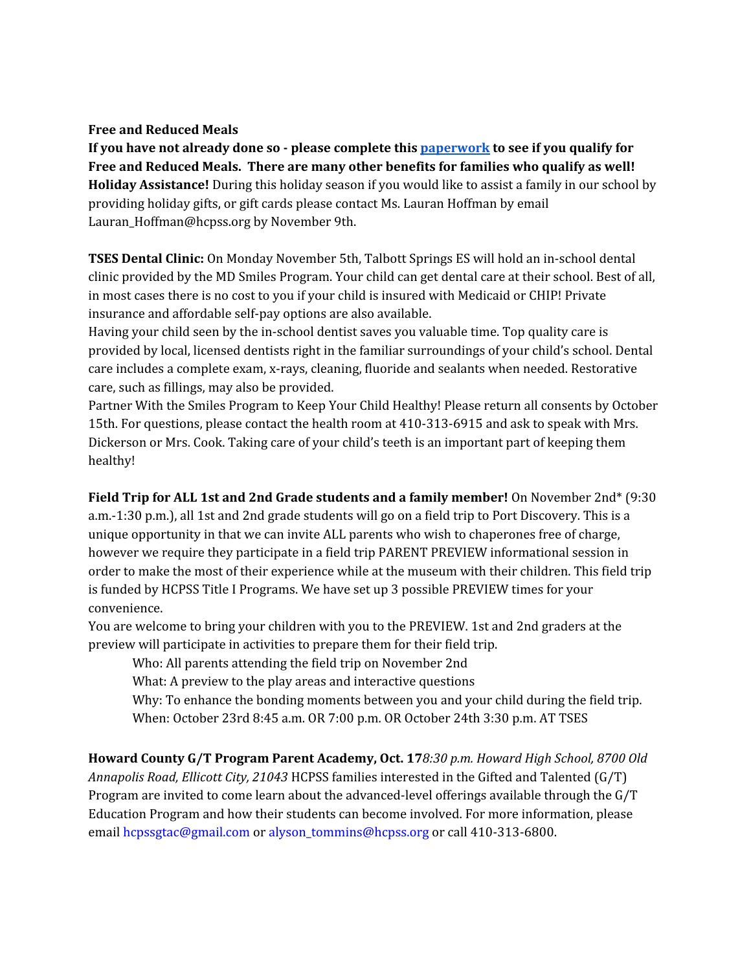### **Free and Reduced Meals**

**If you have not already done so - please complete thi[s](http://track.spe.schoolmessenger.com/f/a/5omoApDHbxuz1t4zmXO6GQ~~/AAAAAQA~/RgRdoNYfP0QqaHR0cHM6Ly93d3cuaGNwc3Mub3JnL2Zvb2Qtc2VydmljZXMvZmFybXMvVwdzY2hvb2xtQgoAAJ-iv1vxYnoLUhhuYW5jeV90aG9tcHNvbkBoY3Bzcy5vcmdYBAAAAAE~) [paperwork](http://track.spe.schoolmessenger.com/f/a/5omoApDHbxuz1t4zmXO6GQ~~/AAAAAQA~/RgRdoNYfP0QqaHR0cHM6Ly93d3cuaGNwc3Mub3JnL2Zvb2Qtc2VydmljZXMvZmFybXMvVwdzY2hvb2xtQgoAAJ-iv1vxYnoLUhhuYW5jeV90aG9tcHNvbkBoY3Bzcy5vcmdYBAAAAAE~) to see if you qualify for Free and Reduced Meals. There are many other benefits for families who qualify as well! Holiday Assistance!** During this holiday season if you would like to assist a family in our school by providing holiday gifts, or gift cards please contact Ms. Lauran Hoffman by email Lauran\_Hoffman@hcpss.org by November 9th.

**TSES Dental Clinic:** On Monday November 5th, Talbott Springs ES will hold an in-school dental clinic provided by the MD Smiles Program. Your child can get dental care at their school. Best of all, in most cases there is no cost to you if your child is insured with Medicaid or CHIP! Private insurance and affordable self-pay options are also available.

Having your child seen by the in-school dentist saves you valuable time. Top quality care is provided by local, licensed dentists right in the familiar surroundings of your child's school. Dental care includes a complete exam, x-rays, cleaning, fluoride and sealants when needed. Restorative care, such as fillings, may also be provided.

Partner With the Smiles Program to Keep Your Child Healthy! Please return all consents by October 15th. For questions, please contact the health room at 410-313-6915 and ask to speak with Mrs. Dickerson or Mrs. Cook. Taking care of your child's teeth is an important part of keeping them healthy!

**Field Trip for ALL 1st and 2nd Grade students and a family member!** On November 2nd\* (9:30 a.m.-1:30 p.m.), all 1st and 2nd grade students will go on a field trip to Port Discovery. This is a unique opportunity in that we can invite ALL parents who wish to chaperones free of charge, however we require they participate in a field trip PARENT PREVIEW informational session in order to make the most of their experience while at the museum with their children. This field trip is funded by HCPSS Title I Programs. We have set up 3 possible PREVIEW times for your convenience.

You are welcome to bring your children with you to the PREVIEW. 1st and 2nd graders at the preview will participate in activities to prepare them for their field trip.

Who: All parents attending the field trip on November 2nd

What: A preview to the play areas and interactive questions

Why: To enhance the bonding moments between you and your child during the field trip. When: October 23rd 8:45 a.m. OR 7:00 p.m. OR October 24th 3:30 p.m. AT TSES

**Howard County G/T Program Parent Academy, Oct. 17***8:30 p.m. Howard High School, 8700 Old Annapolis Road, Ellicott City, 21043* HCPSS families interested in the Gifted and Talented (G/T) Program are invited to come learn about the advanced-level offerings available through the G/T Education Program and how their students can become involved. For more information, please email hcpssgtac@gmail.com or alyson\_tommins@hcpss.org or call 410-313-6800.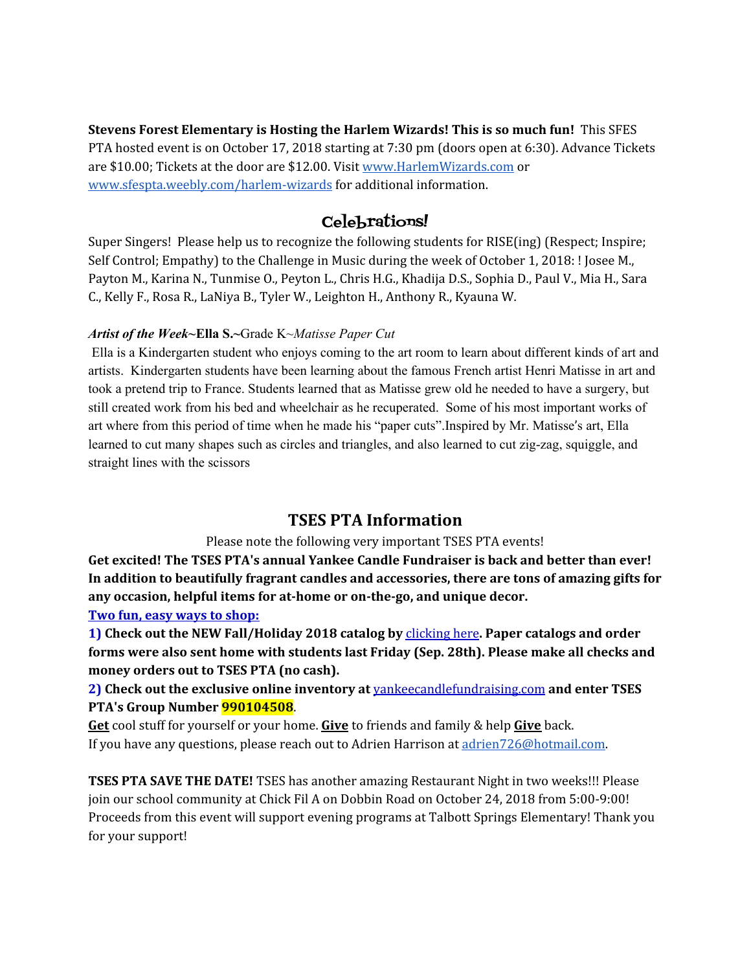**Stevens Forest Elementary is Hosting the Harlem Wizards! This is so much fun!** This SFES PTA hosted event is on October 17, 2018 starting at 7:30 pm (doors open at 6:30). Advance Tickets are \$10.00; Tickets at the door are \$12.00. Visit [www.HarlemWizards.com](http://www.harlemwizards.com/) or [www.sfespta.weebly.com/harlem-wizards](http://www.sfespta.weebly.com/harlem-wizards) for additional information.

# Celebrations!

Super Singers! Please help us to recognize the following students for RISE(ing) (Respect; Inspire; Self Control; Empathy) to the Challenge in Music during the week of October 1, 2018: ! Josee M., Payton M., Karina N., Tunmise O., Peyton L., Chris H.G., Khadija D.S., Sophia D., Paul V., Mia H., Sara C., Kelly F., Rosa R., LaNiya B., Tyler W., Leighton H., Anthony R., Kyauna W.

# *Artist of the Week~***Ella S.~**Grade K~*Matisse Paper Cut*

Ella is a Kindergarten student who enjoys coming to the art room to learn about different kinds of art and artists. Kindergarten students have been learning about the famous French artist Henri Matisse in art and took a pretend trip to France. Students learned that as Matisse grew old he needed to have a surgery, but still created work from his bed and wheelchair as he recuperated. Some of his most important works of art where from this period of time when he made his "paper cuts".Inspired by Mr. Matisse's art, Ella learned to cut many shapes such as circles and triangles, and also learned to cut zig-zag, squiggle, and straight lines with the scissors

# **TSES PTA Information**

Please note the following very important TSES PTA events!

**Get excited! The TSES PTA's annual Yankee Candle Fundraiser is back and better than ever! In addition to beautifully fragrant candles and accessories, there are tons of amazing gifts for any occasion, helpful items for at-home or on-the-go, and unique decor.**

## **Two fun, easy ways to shop:**

**1) Check out the NEW Fall/Holiday 2018 catalog b[y](https://tsespta.us1.list-manage.com/track/click?u=1ec7bb9f46dfcdbe1c87bb37a&id=573f825cfe&e=ea508147b9)** [clicking](https://tsespta.us1.list-manage.com/track/click?u=1ec7bb9f46dfcdbe1c87bb37a&id=573f825cfe&e=ea508147b9) here**. Paper catalogs and order forms were also sent home with students last Friday (Sep. 28th). Please make all checks and money orders out to TSES PTA (no cash).**

**2) Check out the exclusive online inventory at** [yankeecandlefundraising.com](https://tsespta.us1.list-manage.com/track/click?u=1ec7bb9f46dfcdbe1c87bb37a&id=fc92e2a828&e=ea508147b9) **and enter TSES PTA's Group Number 990104508**.

**Get** cool stuff for yourself or your home. **Give** to friends and family & help **Give** back. If you have any questions, please reach out to Adrien Harrison at [adrien726@hotmail.com.](mailto:adrien726@hotmail.com)

**TSES PTA SAVE THE DATE!** TSES has another amazing Restaurant Night in two weeks!!! Please join our school community at Chick Fil A on Dobbin Road on October 24, 2018 from 5:00-9:00! Proceeds from this event will support evening programs at Talbott Springs Elementary! Thank you for your support!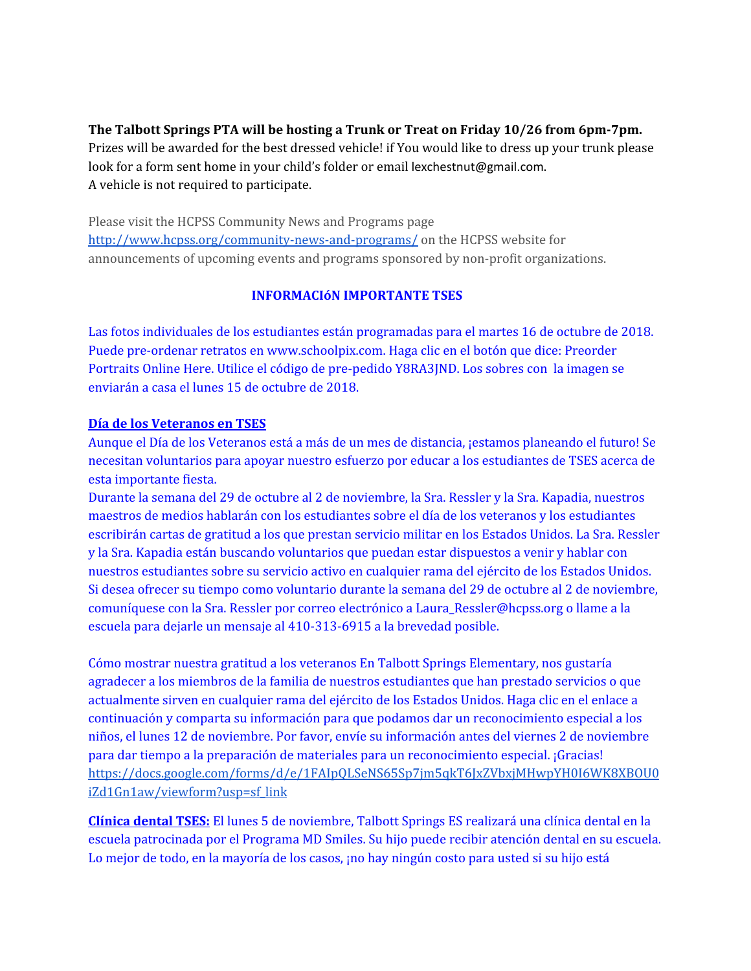# **The Talbott Springs PTA will be hosting a Trunk or Treat on Friday 10/26 from 6pm-7pm.**

Prizes will be awarded for the best dressed vehicle! if You would like to dress up your trunk please look for a form sent home in your child's folder or email lexchestnut@gmail.com. A vehicle is not required to participate.

Please visit the HCPSS Community News and Programs page <http://www.hcpss.org/community-news-and-programs/> on the HCPSS website for announcements of upcoming events and programs sponsored by non-profit organizations.

## **INFORMACIóN IMPORTANTE TSES**

Las fotos individuales de los estudiantes están programadas para el martes 16 de octubre de 2018. Puede pre-ordenar retratos en www.schoolpix.com. Haga clic en el botón que dice: Preorder Portraits Online Here. Utilice el código de pre-pedido Y8RA3JND. Los sobres con la imagen se enviarán a casa el lunes 15 de octubre de 2018.

### **Día de los Veteranos en TSES**

Aunque el Día de los Veteranos está a más de un mes de distancia, ¡estamos planeando el futuro! Se necesitan voluntarios para apoyar nuestro esfuerzo por educar a los estudiantes de TSES acerca de esta importante fiesta.

Durante la semana del 29 de octubre al 2 de noviembre, la Sra. Ressler y la Sra. Kapadia, nuestros maestros de medios hablarán con los estudiantes sobre el día de los veteranos y los estudiantes escribirán cartas de gratitud a los que prestan servicio militar en los Estados Unidos. La Sra. Ressler y la Sra. Kapadia están buscando voluntarios que puedan estar dispuestos a venir y hablar con nuestros estudiantes sobre su servicio activo en cualquier rama del ejército de los Estados Unidos. Si desea ofrecer su tiempo como voluntario durante la semana del 29 de octubre al 2 de noviembre, comuníquese con la Sra. Ressler por correo electrónico a Laura\_Ressler@hcpss.org o llame a la escuela para dejarle un mensaje al 410-313-6915 a la brevedad posible.

Cómo mostrar nuestra gratitud a los veteranos En Talbott Springs Elementary, nos gustaría agradecer a los miembros de la familia de nuestros estudiantes que han prestado servicios o que actualmente sirven en cualquier rama del ejército de los Estados Unidos. Haga clic en el enlace a continuación y comparta su información para que podamos dar un reconocimiento especial a los niños, el lunes 12 de noviembre. Por favor, envíe su información antes del viernes 2 de noviembre para dar tiempo a la preparación de materiales para un reconocimiento especial. ¡Gracias! [https://docs.google.com/forms/d/e/1FAIpQLSeNS65Sp7jm5qkT6JxZVbxjMHwpYH0I6WK8XBOU0](https://docs.google.com/forms/d/e/1FAIpQLSeNS65Sp7jm5qkT6JxZVbxjMHwpYH0I6WK8XBOU0iZd1Gn1aw/viewform?usp=sf_link) [iZd1Gn1aw/viewform?usp=sf\\_link](https://docs.google.com/forms/d/e/1FAIpQLSeNS65Sp7jm5qkT6JxZVbxjMHwpYH0I6WK8XBOU0iZd1Gn1aw/viewform?usp=sf_link)

**Clínica dental TSES:** El lunes 5 de noviembre, Talbott Springs ES realizará una clínica dental en la escuela patrocinada por el Programa MD Smiles. Su hijo puede recibir atención dental en su escuela. Lo mejor de todo, en la mayoría de los casos, ¡no hay ningún costo para usted si su hijo está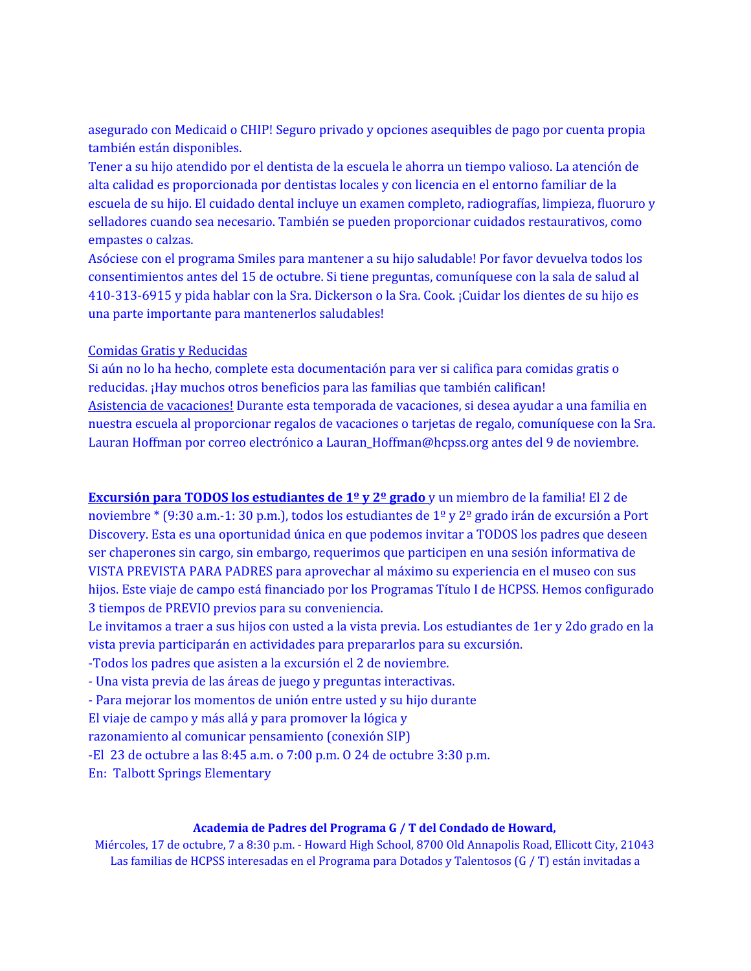asegurado con Medicaid o CHIP! Seguro privado y opciones asequibles de pago por cuenta propia también están disponibles.

Tener a su hijo atendido por el dentista de la escuela le ahorra un tiempo valioso. La atención de alta calidad es proporcionada por dentistas locales y con licencia en el entorno familiar de la escuela de su hijo. El cuidado dental incluye un examen completo, radiografías, limpieza, fluoruro y selladores cuando sea necesario. También se pueden proporcionar cuidados restaurativos, como empastes o calzas.

Asóciese con el programa Smiles para mantener a su hijo saludable! Por favor devuelva todos los consentimientos antes del 15 de octubre. Si tiene preguntas, comuníquese con la sala de salud al 410-313-6915 y pida hablar con la Sra. Dickerson o la Sra. Cook. ¡Cuidar los dientes de su hijo es una parte importante para mantenerlos saludables!

### Comidas Gratis y Reducidas

Si aún no lo ha hecho, complete esta documentación para ver si califica para comidas gratis o reducidas. ¡Hay muchos otros beneficios para las familias que también califican! Asistencia de vacaciones! Durante esta temporada de vacaciones, si desea ayudar a una familia en nuestra escuela al proporcionar regalos de vacaciones o tarjetas de regalo, comuníquese con la Sra. Lauran Hoffman por correo electrónico a Lauran\_Hoffman@hcpss.org antes del 9 de noviembre.

**Excursión para TODOS los estudiantes de 1º y 2º grado** y un miembro de la familia! El 2 de noviembre \* (9:30 a.m.-1: 30 p.m.), todos los estudiantes de 1º y 2º grado irán de excursión a Port Discovery. Esta es una oportunidad única en que podemos invitar a TODOS los padres que deseen ser chaperones sin cargo, sin embargo, requerimos que participen en una sesión informativa de VISTA PREVISTA PARA PADRES para aprovechar al máximo su experiencia en el museo con sus hijos. Este viaje de campo está financiado por los Programas Título I de HCPSS. Hemos configurado 3 tiempos de PREVIO previos para su conveniencia.

Le invitamos a traer a sus hijos con usted a la vista previa. Los estudiantes de 1er y 2do grado en la vista previa participarán en actividades para prepararlos para su excursión.

-Todos los padres que asisten a la excursión el 2 de noviembre.

- Una vista previa de las áreas de juego y preguntas interactivas.

- Para mejorar los momentos de unión entre usted y su hijo durante

El viaje de campo y más allá y para promover la lógica y

razonamiento al comunicar pensamiento (conexión SIP)

-El 23 de octubre a las 8:45 a.m. o 7:00 p.m. O 24 de octubre 3:30 p.m.

En: Talbott Springs Elementary

#### **Academia de Padres del Programa G / T del Condado de Howard,**

Miércoles, 17 de octubre, 7 a 8:30 p.m. - Howard High School, 8700 Old Annapolis Road, Ellicott City, 21043 Las familias de HCPSS interesadas en el Programa para Dotados y Talentosos (G / T) están invitadas a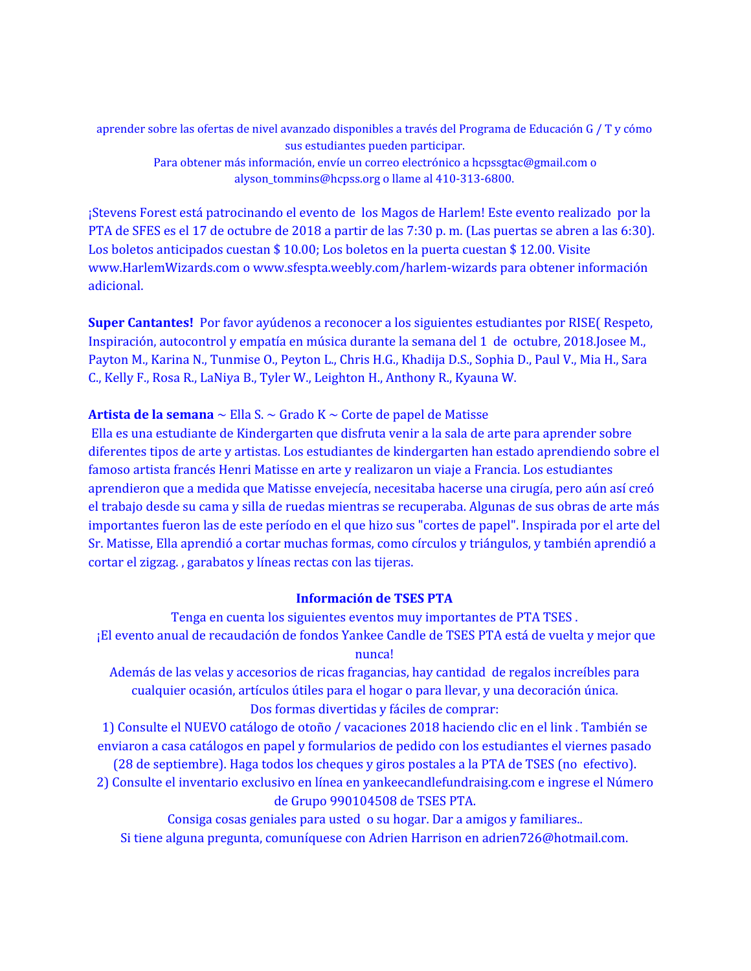aprender sobre las ofertas de nivel avanzado disponibles a través del Programa de Educación G / T y cómo sus estudiantes pueden participar. Para obtener más información, envíe un correo electrónico a hcpssgtac@gmail.com o alyson\_tommins@hcpss.org o llame al 410-313-6800.

¡Stevens Forest está patrocinando el evento de los Magos de Harlem! Este evento realizado por la PTA de SFES es el 17 de octubre de 2018 a partir de las 7:30 p. m. (Las puertas se abren a las 6:30). Los boletos anticipados cuestan \$ 10.00; Los boletos en la puerta cuestan \$ 12.00. Visite www.HarlemWizards.com o www.sfespta.weebly.com/harlem-wizards para obtener información adicional.

**Super Cantantes!** Por favor ayúdenos a reconocer a los siguientes estudiantes por RISE( Respeto, Inspiración, autocontrol y empatía en música durante la semana del 1 de octubre, 2018.Josee M., Payton M., Karina N., Tunmise O., Peyton L., Chris H.G., Khadija D.S., Sophia D., Paul V., Mia H., Sara C., Kelly F., Rosa R., LaNiya B., Tyler W., Leighton H., Anthony R., Kyauna W.

### **Artista de la semana** ~ Ella S. ~ Grado K ~ Corte de papel de Matisse

Ella es una estudiante de Kindergarten que disfruta venir a la sala de arte para aprender sobre diferentes tipos de arte y artistas. Los estudiantes de kindergarten han estado aprendiendo sobre el famoso artista francés Henri Matisse en arte y realizaron un viaje a Francia. Los estudiantes aprendieron que a medida que Matisse envejecía, necesitaba hacerse una cirugía, pero aún así creó el trabajo desde su cama y silla de ruedas mientras se recuperaba. Algunas de sus obras de arte más importantes fueron las de este período en el que hizo sus "cortes de papel". Inspirada por el arte del Sr. Matisse, Ella aprendió a cortar muchas formas, como círculos y triángulos, y también aprendió a cortar el zigzag. , garabatos y líneas rectas con las tijeras.

#### **Información de TSES PTA**

Tenga en cuenta los siguientes eventos muy importantes de PTA TSES . ¡El evento anual de recaudación de fondos Yankee Candle de TSES PTA está de vuelta y mejor que nunca!

Además de las velas y accesorios de ricas fragancias, hay cantidad de regalos increíbles para cualquier ocasión, artículos útiles para el hogar o para llevar, y una decoración única. Dos formas divertidas y fáciles de comprar:

1) Consulte el NUEVO catálogo de otoño / vacaciones 2018 haciendo clic en el link . También se enviaron a casa catálogos en papel y formularios de pedido con los estudiantes el viernes pasado (28 de septiembre). Haga todos los cheques y giros postales a la PTA de TSES (no efectivo).

2) Consulte el inventario exclusivo en línea en yankeecandlefundraising.com e ingrese el Número de Grupo 990104508 de TSES PTA.

Consiga cosas geniales para usted o su hogar. Dar a amigos y familiares.. Si tiene alguna pregunta, comuníquese con Adrien Harrison en adrien726@hotmail.com.